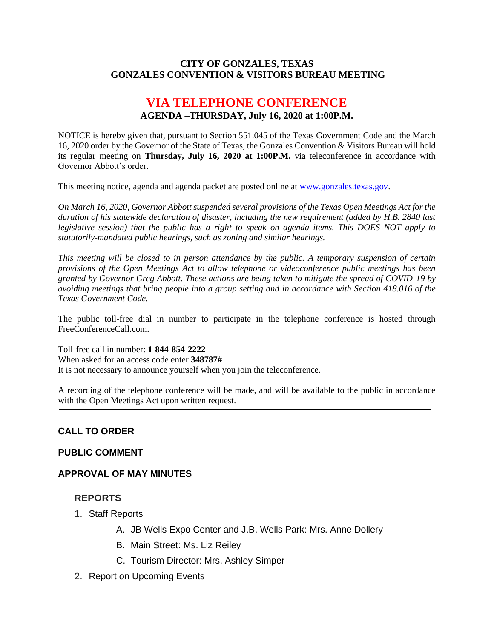#### **CITY OF GONZALES, TEXAS GONZALES CONVENTION & VISITORS BUREAU MEETING**

# **VIA TELEPHONE CONFERENCE AGENDA –THURSDAY, July 16, 2020 at 1:00P.M.**

NOTICE is hereby given that, pursuant to Section 551.045 of the Texas Government Code and the March 16, 2020 order by the Governor of the State of Texas, the Gonzales Convention & Visitors Bureau will hold its regular meeting on **Thursday, July 16, 2020 at 1:00P.M.** via teleconference in accordance with Governor Abbott's order.

This meeting notice, agenda and agenda packet are posted online at [www.gonzales.texas.gov.](http://www.gonzales.texas.gov/)

*On March 16, 2020, Governor Abbott suspended several provisions of the Texas Open Meetings Act for the duration of his statewide declaration of disaster, including the new requirement (added by H.B. 2840 last legislative session) that the public has a right to speak on agenda items. This DOES NOT apply to statutorily-mandated public hearings, such as zoning and similar hearings.* 

*This meeting will be closed to in person attendance by the public. A temporary suspension of certain provisions of the Open Meetings Act to allow telephone or videoconference public meetings has been granted by Governor Greg Abbott. These actions are being taken to mitigate the spread of COVID-19 by avoiding meetings that bring people into a group setting and in accordance with Section 418.016 of the Texas Government Code.*

The public toll-free dial in number to participate in the telephone conference is hosted through FreeConferenceCall.com.

Toll-free call in number: **1-844-854-2222**

When asked for an access code enter **348787#**

It is not necessary to announce yourself when you join the teleconference.

A recording of the telephone conference will be made, and will be available to the public in accordance with the Open Meetings Act upon written request.

#### **CALL TO ORDER**

#### **PUBLIC COMMENT**

#### **APPROVAL OF MAY MINUTES**

#### **REPORTS**

- 1. Staff Reports
	- A. JB Wells Expo Center and J.B. Wells Park: Mrs. Anne Dollery
	- B. Main Street: Ms. Liz Reiley
	- C. Tourism Director: Mrs. Ashley Simper
- 2. Report on Upcoming Events